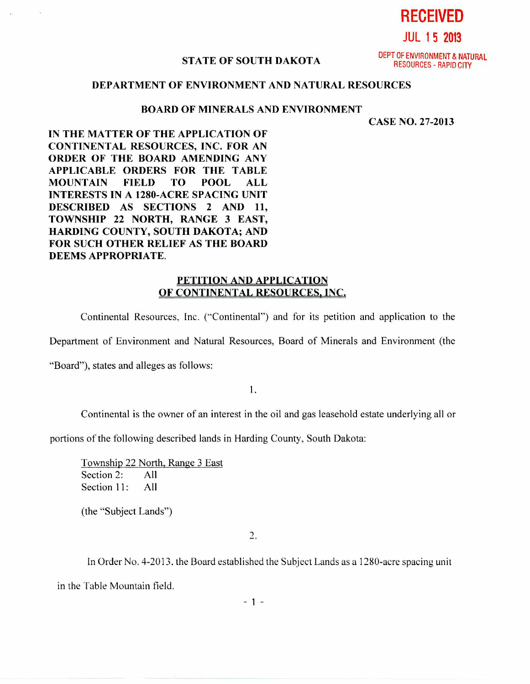**JUL 1 5 2013** 

**RECEIVED** 

## **STATE OF SOUTH DAKOTA**

DEPT OF ENVIRONMENT & NATURAL RESOURCES - RAPID CITY

## **DEPARTMENT OF ENVIRONMENT AND NATURAL RESOURCES**

## **BOARD OF MINERALS AND ENVIRONMENT**

**CASE NO. 27-2013** 

**IN THE MATTER OF THE APPLICATION OF CONTINENTAL RESOURCES, INC. FOR AN ORDER OF THE BOARD AMENDING ANY APPLICABLE ORDERS FOR THE TABLE MOUNTAIN FIELD TO POOL ALL INTERESTS IN A 1280-ACRE SPACING UNIT DESCRIBED AS SECTIONS 2 AND 11, TOWNSHIP 22 NORTH, RANGE 3 EAST, HARDING COUNTY, SOUTH DAKOTA; AND FOR SUCH OTHER RELIEF AS THE BOARD DEEMS APPROPRIATE.** 

## **PETITION AND APPLICATION OF CONTINENTAL RESOURCES, INC,**

Continental Resources, Inc. ("Continental") and for its petition and application to the

Department of Environment and Natural Resources, Board of Minerals and Environment (the

"Board"), states and alleges as follows:

1.

Continental is the owner of an interest in the oil and gas leasehold estate underlying all or

portions of the following described lands in Harding County, South Dakota:

Township 22 North, Range 3 East Section 2: All Section 11: All

(the "Subject Lands")

2.

In Order No. 4-2013. the Board established the Subject Lands as a 1280-acre spacing unit

in the Table Mountain field.

- 1 -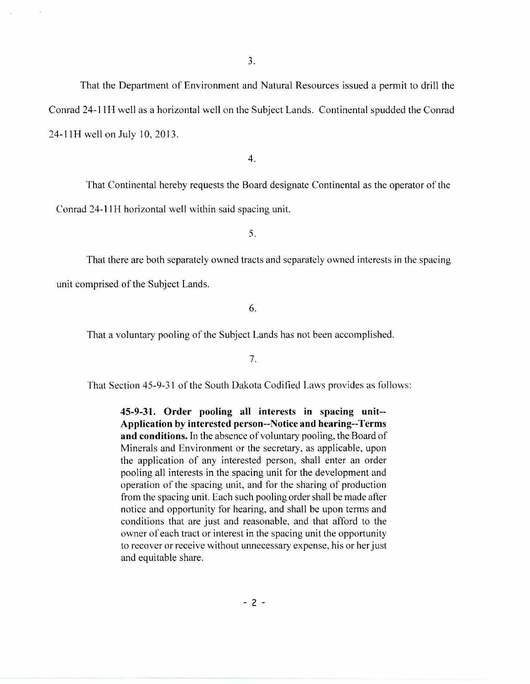That the Department of Environment and Natural Resources issued a permit to drill the Conrad 24-11H well as a horizontal well on the Subject Lands. Continental spudded the Conrad 24-11H well on July 10, 2013.

4.

That Continental hereby requests the Board designate Continental as the operator of the Conrad 24-1111 horizontal well within said spacing unit.

5.

That there are both separately owned tracts and separately owned interests in the spacing unit comprised of the Subject Lands.

6.

That a voluntary pooling of the Subject Lands has not been accomplished.

7.

That Section 45-9-31 of the South Dakota Codified Laws provides as follows:

**45-9-31. Order pooling all interests in spacing unit-- Application by interested person--Notice and hearing--Terms and conditions.** In the absence of voluntary pooling, the Board of Minerals and Environment or the secretary, as applicable, upon the application of any interested person, shall enter an order pooling all interests in the spacing unit for the development and operation of the spacing unit, and for the sharing of production from the spacing unit. Each such pooling order shall be made after notice and opportunity for hearing, and shall be upon terms and conditions that are just and reasonable, and that afford to the owner of each tract or interest in the spacing unit the opportunity to recover or receive without unnecessary expense, his or her just and equitable share.

 $-2 -$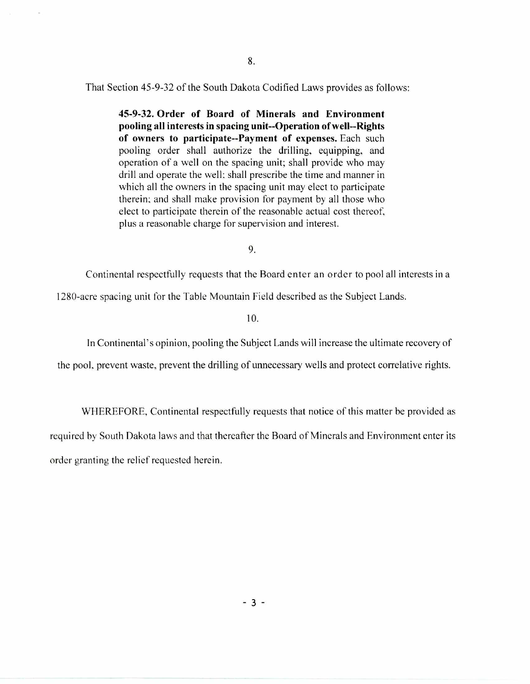That Section 45-9-32 of the South Dakota Codified Laws provides as follows:

**45-9-32. Order of Board of Minerals and Environment pooling all interests in spacing unit--Operation of well--Rights of owners to participate--Payment of expenses.** Each such pooling order shall authorize the drilling, equipping, and operation of a well on the spacing unit; shall provide who may drill and operate the well; shall prescribe the time and manner in which all the owners in the spacing unit may elect to participate therein; and shall make provision for payment by all those who elect to participate therein of the reasonable actual cost thereof, plus a reasonable charge for supervision and interest.

9.

Continental respectfully requests that the Board enter an order to pool all interests in a

1280-acre spacing unit for the Table Mountain Field described as the Subject Lands.

**10.** 

In Continental's opinion, pooling the Subject Lands will increase the ultimate recovery of

the pool, prevent waste, prevent the drilling of unnecessary wells and protect correlative rights.

WHEREFORE, Continental respectfully requests that notice of this matter be provided as required by South Dakota laws and that thereafter the Board of Minerals and Environment enter its order granting the relief requested herein.